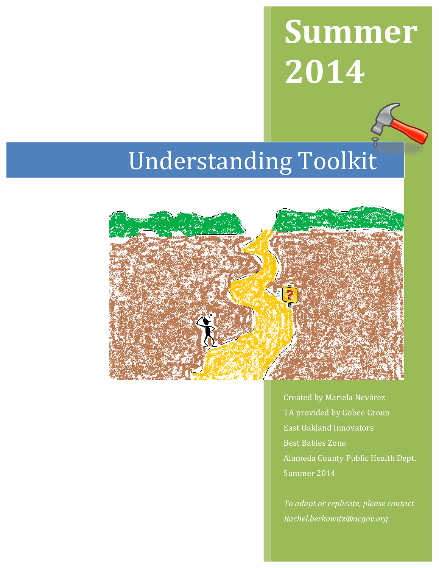# **Summer 2014**

## Understanding Toolkit



Created by Mariela Nevárez TA provided by Gobee Group East Oakland Innovators Best Babies Zone Alameda County Public Health Dept. Summer 2014

*To adapt or replicate, please contact Rachel.berkowitz@acgov.org*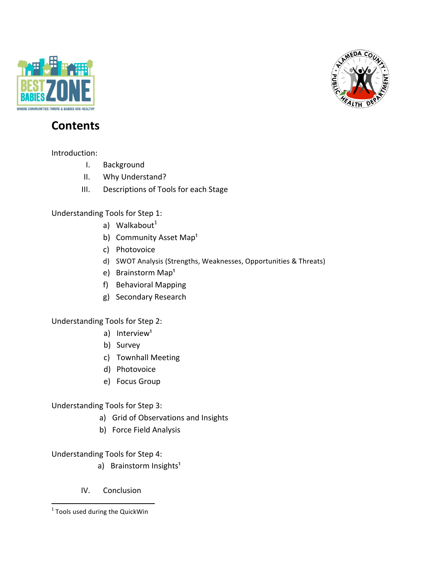



### **Contents**

Introduction: 

- I. Background
- II. Why Understand?
- III. Descriptions of Tools for each Stage

Understanding Tools for Step 1:

- a) Walkabout $<sup>1</sup>$ </sup>
- b) Community Asset Map<sup>1</sup>
- c) Photovoice
- d) SWOT Analysis (Strengths, Weaknesses, Opportunities & Threats)
- e) Brainstorm Map<sup>1</sup>
- f) Behavioral Mapping
- g) Secondary Research

Understanding Tools for Step 2:

- a) Interview<sup>1</sup>
- b) Survey
- c) Townhall Meeting
- d) Photovoice
- e) Focus Group

Understanding Tools for Step 3:

- a) Grid of Observations and Insights
- b) Force Field Analysis

Understanding Tools for Step 4:

- a) Brainstorm Insights<sup>1</sup>
- IV. Conclusion

<sup>&</sup>lt;u> 1989 - Jan Samuel Barbara, margaret e</u>  $1$  Tools used during the QuickWin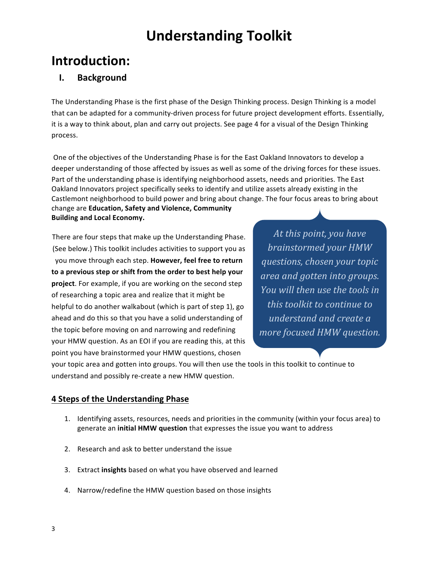## **Introduction:**

#### **I. Background**

The Understanding Phase is the first phase of the Design Thinking process. Design Thinking is a model that can be adapted for a community-driven process for future project development efforts. Essentially, it is a way to think about, plan and carry out projects. See page 4 for a visual of the Design Thinking process. 

One of the objectives of the Understanding Phase is for the East Oakland Innovators to develop a deeper understanding of those affected by issues as well as some of the driving forces for these issues. Part of the understanding phase is identifying neighborhood assets, needs and priorities. The East Oakland Innovators project specifically seeks to identify and utilize assets already existing in the Castlemont neighborhood to build power and bring about change. The four focus areas to bring about change are **Education, Safety and Violence, Community** 

**Building and Local Economy.** 

There are four steps that make up the Understanding Phase. (See below.) This toolkit includes activities to support you as you move through each step. However, feel free to return to a previous step or shift from the order to best help your **project**. For example, if you are working on the second step of researching a topic area and realize that it might be helpful to do another walkabout (which is part of step 1), go ahead and do this so that you have a solid understanding of the topic before moving on and narrowing and redefining your HMW question. As an EOI if you are reading this, at this point you have brainstormed your HMW questions, chosen

At this point, you have *brainstormed your HMW questions, chosen your topic area and gotten into groups. You* will then use the tools in *this* toolkit to continue to *understand and create a more focused HMW question.* 

your topic area and gotten into groups. You will then use the tools in this toolkit to continue to understand and possibly re-create a new HMW question.

#### **4 Steps of the Understanding Phase**

- 1. Identifying assets, resources, needs and priorities in the community (within your focus area) to generate an **initial HMW question** that expresses the issue you want to address
- 2. Research and ask to better understand the issue
- 3. Extract insights based on what you have observed and learned
- 4. Narrow/redefine the HMW question based on those insights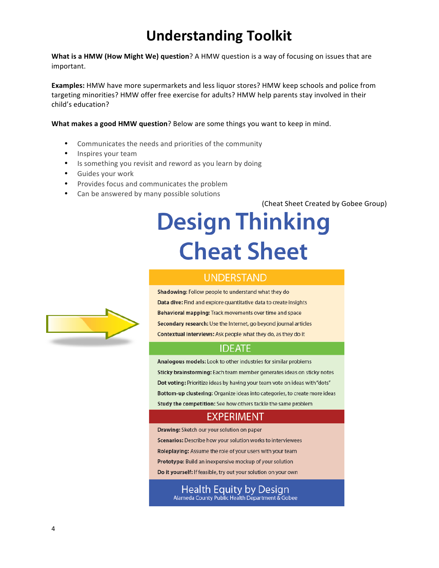**What is a HMW (How Might We) question**? A HMW question is a way of focusing on issues that are important.

**Examples:** HMW have more supermarkets and less liquor stores? HMW keep schools and police from targeting minorities? HMW offer free exercise for adults? HMW help parents stay involved in their child's education?

**What makes a good HMW question**? Below are some things you want to keep in mind.

- Communicates the needs and priorities of the community
- Inspires your team
- Is something you revisit and reword as you learn by doing
- Guides your work
- Provides focus and communicates the problem
- Can be answered by many possible solutions

(Cheat Sheet Created by Gobee Group)

## **Design Thinking Cheat Sheet**

#### **UNDERSTAND**

Shadowing: Follow people to understand what they do Data dive: Find and explore quantitative data to create insights Behavioral mapping: Track movements over time and space Secondary research: Use the Internet, go beyond journal articles Contextual interviews: Ask people what they do, as they do it

#### **IDEATE**

Analogous models: Look to other industries for similar problems Sticky brainstorming: Each team member generates ideas on sticky notes Dot voting: Prioritize ideas by having your team vote on ideas with "dots" Bottom-up clustering: Organize ideas into categories, to create more ideas Study the competition: See how others tackle the same problem

#### EXPERIMENT

Drawing: Sketch our your solution on paper

Scenarios: Describe how your solution works to interviewees

Roleplaying: Assume the role of your users with your team

Prototype: Build an inexpensive mockup of your solution

Do it yourself: If feasible, try out your solution on your own

Health Equity by Design Alameda County Public Health Department & Gobee

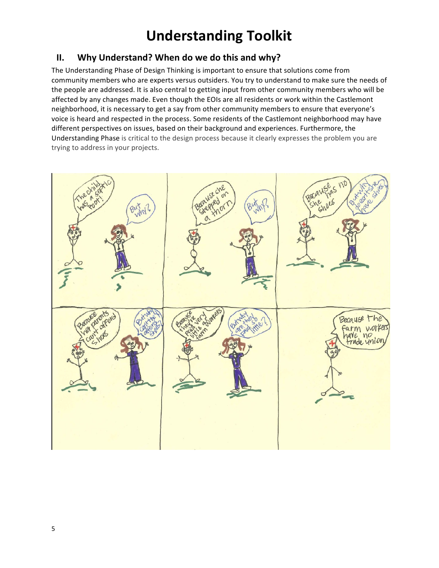#### **II.** Why Understand? When do we do this and why?

The Understanding Phase of Design Thinking is important to ensure that solutions come from community members who are experts versus outsiders. You try to understand to make sure the needs of the people are addressed. It is also central to getting input from other community members who will be affected by any changes made. Even though the EOIs are all residents or work within the Castlemont neighborhood, it is necessary to get a say from other community members to ensure that everyone's voice is heard and respected in the process. Some residents of the Castlemont neighborhood may have different perspectives on issues, based on their background and experiences. Furthermore, the Understanding Phase is critical to the design process because it clearly expresses the problem you are trying to address in your projects.

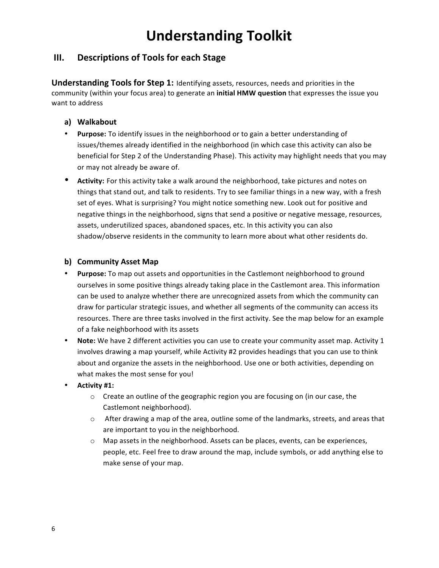#### **III.** Descriptions of Tools for each Stage

**Understanding Tools for Step 1:** Identifying assets, resources, needs and priorities in the community (within your focus area) to generate an *initial HMW question* that expresses the issue you want to address

#### **a) Walkabout**

- Purpose: To identify issues in the neighborhood or to gain a better understanding of issues/themes already identified in the neighborhood (in which case this activity can also be beneficial for Step 2 of the Understanding Phase). This activity may highlight needs that you may or may not already be aware of.
- Activity: For this activity take a walk around the neighborhood, take pictures and notes on things that stand out, and talk to residents. Try to see familiar things in a new way, with a fresh set of eyes. What is surprising? You might notice something new. Look out for positive and negative things in the neighborhood, signs that send a positive or negative message, resources, assets, underutilized spaces, abandoned spaces, etc. In this activity you can also shadow/observe residents in the community to learn more about what other residents do.

#### **b) Community Asset Map**

- Purpose: To map out assets and opportunities in the Castlemont neighborhood to ground ourselves in some positive things already taking place in the Castlemont area. This information can be used to analyze whether there are unrecognized assets from which the community can draw for particular strategic issues, and whether all segments of the community can access its resources. There are three tasks involved in the first activity. See the map below for an example of a fake neighborhood with its assets
- Note: We have 2 different activities you can use to create your community asset map. Activity 1 involves drawing a map yourself, while Activity #2 provides headings that you can use to think about and organize the assets in the neighborhood. Use one or both activities, depending on what makes the most sense for you!
- **Activity #1:**
	- $\circ$  Create an outline of the geographic region you are focusing on (in our case, the Castlemont neighborhood).
	- $\circ$  After drawing a map of the area, outline some of the landmarks, streets, and areas that are important to you in the neighborhood.
	- $\circ$  Map assets in the neighborhood. Assets can be places, events, can be experiences, people, etc. Feel free to draw around the map, include symbols, or add anything else to make sense of your map.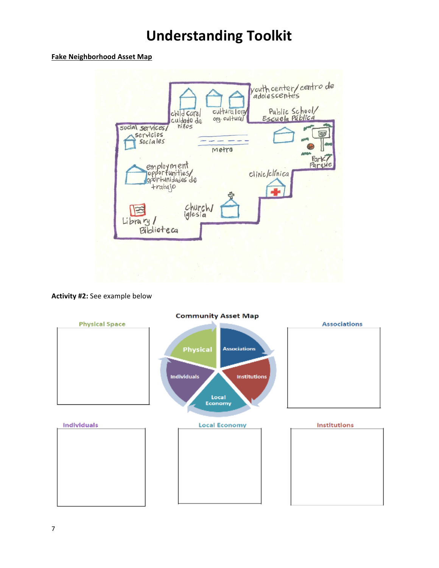#### **Fake Neighborhood Asset Map**



#### **Activity #2:** See example below



#### **Community Asset Map**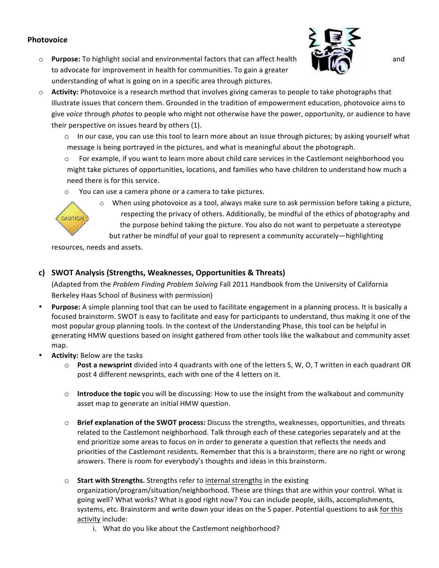#### **Photovoice**

o **Purpose:** To highlight social and environmental factors that can affect health **and** and to advocate for improvement in health for communities. To gain a greater understanding of what is going on in a specific area through pictures.



- $\circ$  **Activity:** Photovoice is a research method that involves giving cameras to people to take photographs that illustrate issues that concern them. Grounded in the tradition of empowerment education, photovoice aims to give voice through photos to people who might not otherwise have the power, opportunity, or audience to have their perspective on issues heard by others (1).
	- $\circ$  In our case, you can use this tool to learn more about an issue through pictures; by asking yourself what message is being portrayed in the pictures, and what is meaningful about the photograph.
	- For example, if you want to learn more about child care services in the Castlemont neighborhood you might take pictures of opportunities, locations, and families who have children to understand how much a need there is for this service.
	- $\circ$  You can use a camera phone or a camera to take pictures.



 $\circ$  When using photovoice as a tool, always make sure to ask permission before taking a picture, respecting the privacy of others. Additionally, be mindful of the ethics of photography and the purpose behind taking the picture. You also do not want to perpetuate a stereotype but rather be mindful of your goal to represent a community accurately—highlighting

resources, needs and assets.

#### **c) SWOT Analysis (Strengths, Weaknesses, Opportunities & Threats)**

(Adapted from the *Problem Finding Problem Solving* Fall 2011 Handbook from the University of California Berkeley Haas School of Business with permission)

- **Purpose:** A simple planning tool that can be used to facilitate engagement in a planning process. It is basically a focused brainstorm. SWOT is easy to facilitate and easy for participants to understand, thus making it one of the most popular group planning tools. In the context of the Understanding Phase, this tool can be helpful in generating HMW questions based on insight gathered from other tools like the walkabout and community asset map.
- **Activity: Below are the tasks** 
	- $\circ$  **Post a newsprint** divided into 4 quadrants with one of the letters S, W, O, T written in each quadrant OR post 4 different newsprints, each with one of the 4 letters on it.
	- o **Introduce the topic** you will be discussing: How to use the insight from the walkabout and community asset map to generate an initial HMW question.
	- $\circ$  **Brief explanation of the SWOT process:** Discuss the strengths, weaknesses, opportunities, and threats related to the Castlemont neighborhood. Talk through each of these categories separately and at the end prioritize some areas to focus on in order to generate a question that reflects the needs and priorities of the Castlemont residents. Remember that this is a brainstorm; there are no right or wrong answers. There is room for everybody's thoughts and ideas in this brainstorm.
	- o Start with Strengths. Strengths refer to internal strengths in the existing organization/program/situation/neighborhood. These are things that are within your control. What is going well? What works? What is good right now? You can include people, skills, accomplishments, systems, etc. Brainstorm and write down your ideas on the S paper. Potential questions to ask for this activity include:
		- i. What do you like about the Castlemont neighborhood?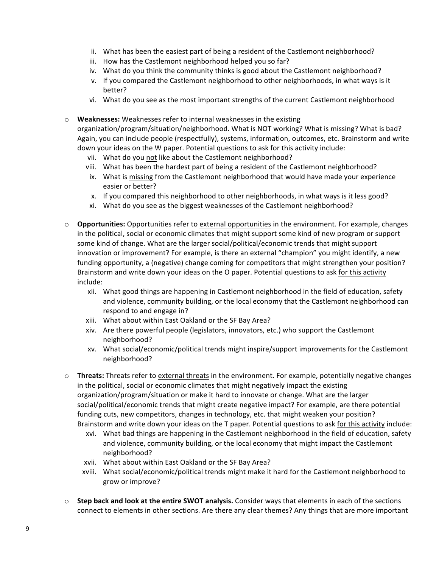- ii. What has been the easiest part of being a resident of the Castlemont neighborhood?
- iii. How has the Castlemont neighborhood helped you so far?
- iv. What do you think the community thinks is good about the Castlemont neighborhood?
- v. If you compared the Castlemont neighborhood to other neighborhoods, in what ways is it better?
- vi. What do you see as the most important strengths of the current Castlemont neighborhood
- $\circ$  **Weaknesses:** Weaknesses refer to internal weaknesses in the existing

organization/program/situation/neighborhood. What is NOT working? What is missing? What is bad? Again, you can include people (respectfully), systems, information, outcomes, etc. Brainstorm and write down your ideas on the W paper. Potential questions to ask for this activity include:

- vii. What do you not like about the Castlemont neighborhood?
- viii. What has been the hardest part of being a resident of the Castlemont neighborhood?
- ix. What is missing from the Castlemont neighborhood that would have made your experience easier or better?
- x. If you compared this neighborhood to other neighborhoods, in what ways is it less good?
- xi. What do you see as the biggest weaknesses of the Castlemont neighborhood?
- o **Opportunities:** Opportunities refer to external opportunities in the environment. For example, changes in the political, social or economic climates that might support some kind of new program or support some kind of change. What are the larger social/political/economic trends that might support innovation or improvement? For example, is there an external "champion" you might identify, a new funding opportunity, a (negative) change coming for competitors that might strengthen your position? Brainstorm and write down your ideas on the O paper. Potential questions to ask for this activity include:
	- xii. What good things are happening in Castlemont neighborhood in the field of education, safety and violence, community building, or the local economy that the Castlemont neighborhood can respond to and engage in?
	- xiii. What about within East Oakland or the SF Bay Area?
	- xiv. Are there powerful people (legislators, innovators, etc.) who support the Castlemont neighborhood?
	- xv. What social/economic/political trends might inspire/support improvements for the Castlemont neighborhood?
- $\circ$  **Threats:** Threats refer to external threats in the environment. For example, potentially negative changes in the political, social or economic climates that might negatively impact the existing organization/program/situation or make it hard to innovate or change. What are the larger social/political/economic trends that might create negative impact? For example, are there potential funding cuts, new competitors, changes in technology, etc. that might weaken your position? Brainstorm and write down your ideas on the T paper. Potential questions to ask for this activity include:
	- xvi. What bad things are happening in the Castlemont neighborhood in the field of education, safety and violence, community building, or the local economy that might impact the Castlemont neighborhood?
	- xvii. What about within East Oakland or the SF Bay Area?
	- xviii. What social/economic/political trends might make it hard for the Castlemont neighborhood to grow or improve?
- $\circ$  **Step back and look at the entire SWOT analysis.** Consider ways that elements in each of the sections connect to elements in other sections. Are there any clear themes? Any things that are more important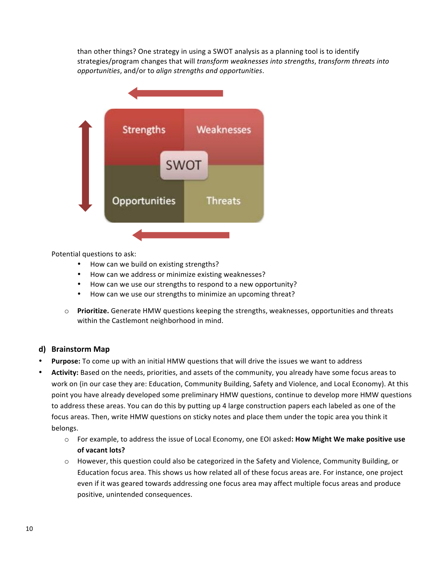than other things? One strategy in using a SWOT analysis as a planning tool is to identify strategies/program changes that will *transform weaknesses into strengths*, *transform threats into opportunities*, and/or to *align strengths and opportunities*.



Potential questions to ask:

- How can we build on existing strengths?
- How can we address or minimize existing weaknesses?
- How can we use our strengths to respond to a new opportunity?
- How can we use our strengths to minimize an upcoming threat?
- o **Prioritize.** Generate HMW questions keeping the strengths, weaknesses, opportunities and threats within the Castlemont neighborhood in mind.

#### **d) Brainstorm Map**

- **Purpose:** To come up with an initial HMW questions that will drive the issues we want to address
- Activity: Based on the needs, priorities, and assets of the community, you already have some focus areas to work on (in our case they are: Education, Community Building, Safety and Violence, and Local Economy). At this point you have already developed some preliminary HMW questions, continue to develop more HMW questions to address these areas. You can do this by putting up 4 large construction papers each labeled as one of the focus areas. Then, write HMW questions on sticky notes and place them under the topic area you think it belongs.
	- $\circ$  For example, to address the issue of Local Economy, one EOI asked: **How Might We make positive use** of vacant lots?
	- o However, this question could also be categorized in the Safety and Violence, Community Building, or Education focus area. This shows us how related all of these focus areas are. For instance, one project even if it was geared towards addressing one focus area may affect multiple focus areas and produce positive, unintended consequences.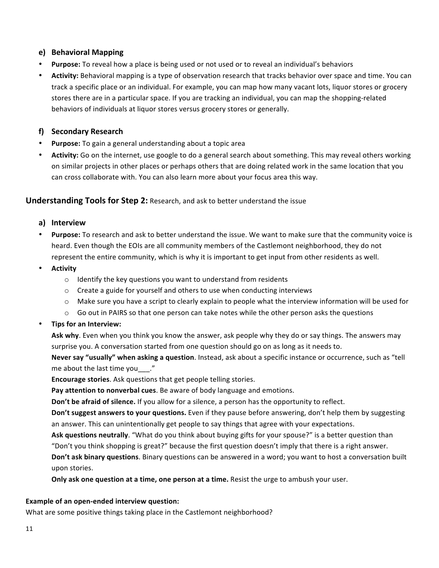#### **e) Behavioral Mapping**

- **Purpose:** To reveal how a place is being used or not used or to reveal an individual's behaviors
- Activity: Behavioral mapping is a type of observation research that tracks behavior over space and time. You can track a specific place or an individual. For example, you can map how many vacant lots, liquor stores or grocery stores there are in a particular space. If you are tracking an individual, you can map the shopping-related behaviors of individuals at liquor stores versus grocery stores or generally.

#### **f) Secondary Research**

- **Purpose:** To gain a general understanding about a topic area
- Activity: Go on the internet, use google to do a general search about something. This may reveal others working on similar projects in other places or perhaps others that are doing related work in the same location that you can cross collaborate with. You can also learn more about your focus area this way.

#### **Understanding Tools for Step 2:** Research, and ask to better understand the issue

#### **a) Interview**

- **Purpose:** To research and ask to better understand the issue. We want to make sure that the community voice is heard. Even though the EOIs are all community members of the Castlemont neighborhood, they do not represent the entire community, which is why it is important to get input from other residents as well.
- **Activity**
	- $\circ$  Identify the key questions you want to understand from residents
	- $\circ$  Create a guide for yourself and others to use when conducting interviews
	- $\circ$  Make sure you have a script to clearly explain to people what the interview information will be used for
	- $\circ$  Go out in PAIRS so that one person can take notes while the other person asks the questions
- **Tips for an Interview:**

Ask why. Even when you think you know the answer, ask people why they do or say things. The answers may surprise you. A conversation started from one question should go on as long as it needs to.

**Never say "usually" when asking a question**. Instead, ask about a specific instance or occurrence, such as "tell me about the last time you  $\ldots$ "

**Encourage stories**. Ask questions that get people telling stories.

Pay attention to nonverbal cues. Be aware of body language and emotions.

**Don't be afraid of silence.** If you allow for a silence, a person has the opportunity to reflect.

**Don't suggest answers to your questions.** Even if they pause before answering, don't help them by suggesting an answer. This can unintentionally get people to say things that agree with your expectations.

Ask questions neutrally. "What do you think about buying gifts for your spouse?" is a better question than

"Don't you think shopping is great?" because the first question doesn't imply that there is a right answer.

**Don't ask binary questions**. Binary questions can be answered in a word; you want to host a conversation built upon stories. 

**Only ask one question at a time, one person at a time.** Resist the urge to ambush your user.

#### **Example of an open-ended interview question:**

What are some positive things taking place in the Castlemont neighborhood?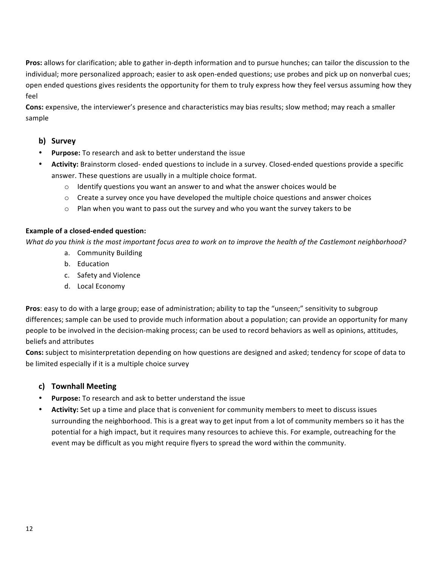**Pros:** allows for clarification; able to gather in-depth information and to pursue hunches; can tailor the discussion to the individual; more personalized approach; easier to ask open-ended questions; use probes and pick up on nonverbal cues; open ended questions gives residents the opportunity for them to truly express how they feel versus assuming how they feel

**Cons:** expensive, the interviewer's presence and characteristics may bias results; slow method; may reach a smaller sample

#### **b) Survey**

- Purpose: To research and ask to better understand the issue
- Activity: Brainstorm closed- ended questions to include in a survey. Closed-ended questions provide a specific answer. These questions are usually in a multiple choice format.
	- $\circ$  Identify questions you want an answer to and what the answer choices would be
	- $\circ$  Create a survey once you have developed the multiple choice questions and answer choices
	- $\circ$  Plan when you want to pass out the survey and who you want the survey takers to be

#### **Example of a closed-ended question:**

*What do you think is the most important focus area to work on to improve the health of the Castlemont neighborhood?* 

- a. Community Building
- b. Education
- c. Safety and Violence
- d. Local Economy

**Pros**: easy to do with a large group; ease of administration; ability to tap the "unseen;" sensitivity to subgroup differences; sample can be used to provide much information about a population; can provide an opportunity for many people to be involved in the decision-making process; can be used to record behaviors as well as opinions, attitudes, beliefs and attributes

**Cons:** subject to misinterpretation depending on how questions are designed and asked; tendency for scope of data to be limited especially if it is a multiple choice survey

#### **c) Townhall Meeting**

- Purpose: To research and ask to better understand the issue
- Activity: Set up a time and place that is convenient for community members to meet to discuss issues surrounding the neighborhood. This is a great way to get input from a lot of community members so it has the potential for a high impact, but it requires many resources to achieve this. For example, outreaching for the event may be difficult as you might require flyers to spread the word within the community.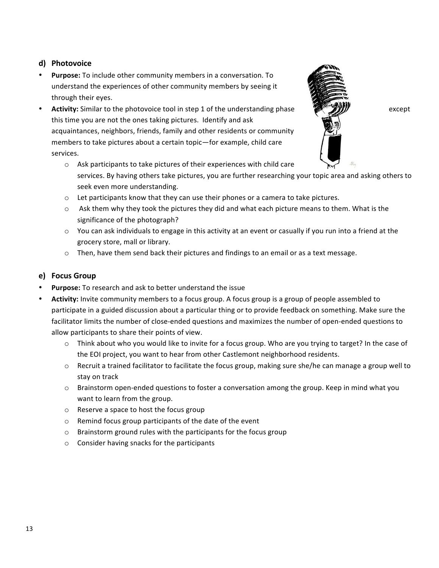#### d) **Photovoice**

- **Purpose:** To include other community members in a conversation. To understand the experiences of other community members by seeing it through their eyes.
- **Activity:** Similar to the photovoice tool in step 1 of the understanding phase **Example 1** except this time you are not the ones taking pictures. Identify and ask acquaintances, neighbors, friends, family and other residents or community members to take pictures about a certain topic-for example, child care services.



- $\circ$  Ask participants to take pictures of their experiences with child care services. By having others take pictures, you are further researching your topic area and asking others to seek even more understanding.
- $\circ$  Let participants know that they can use their phones or a camera to take pictures.
- $\circ$  Ask them why they took the pictures they did and what each picture means to them. What is the significance of the photograph?
- $\circ$  You can ask individuals to engage in this activity at an event or casually if you run into a friend at the grocery store, mall or library.
- $\circ$  Then, have them send back their pictures and findings to an email or as a text message.

#### **e) Focus Group**

- Purpose: To research and ask to better understand the issue
- Activity: Invite community members to a focus group. A focus group is a group of people assembled to participate in a guided discussion about a particular thing or to provide feedback on something. Make sure the facilitator limits the number of close-ended questions and maximizes the number of open-ended questions to allow participants to share their points of view.
	- $\circ$  Think about who you would like to invite for a focus group. Who are you trying to target? In the case of the EOI project, you want to hear from other Castlemont neighborhood residents.
	- $\circ$  Recruit a trained facilitator to facilitate the focus group, making sure she/he can manage a group well to stay on track
	- $\circ$  Brainstorm open-ended questions to foster a conversation among the group. Keep in mind what you want to learn from the group.
	- $\circ$  Reserve a space to host the focus group
	- $\circ$  Remind focus group participants of the date of the event
	- $\circ$  Brainstorm ground rules with the participants for the focus group
	- $\circ$  Consider having snacks for the participants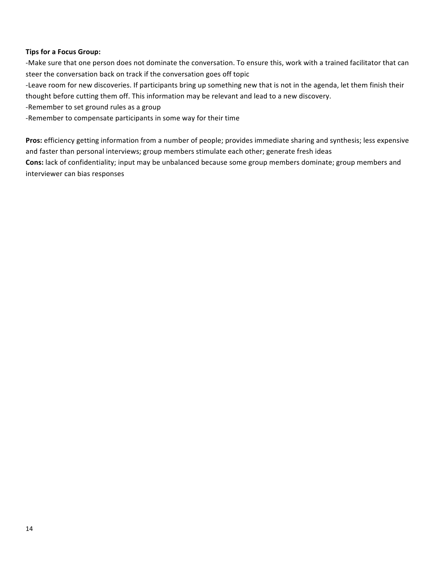#### **Tips for a Focus Group:**

-Make sure that one person does not dominate the conversation. To ensure this, work with a trained facilitator that can steer the conversation back on track if the conversation goes off topic

-Leave room for new discoveries. If participants bring up something new that is not in the agenda, let them finish their thought before cutting them off. This information may be relevant and lead to a new discovery.

-Remember to set ground rules as a group

-Remember to compensate participants in some way for their time

**Pros:** efficiency getting information from a number of people; provides immediate sharing and synthesis; less expensive and faster than personal interviews; group members stimulate each other; generate fresh ideas

**Cons:** lack of confidentiality; input may be unbalanced because some group members dominate; group members and interviewer can bias responses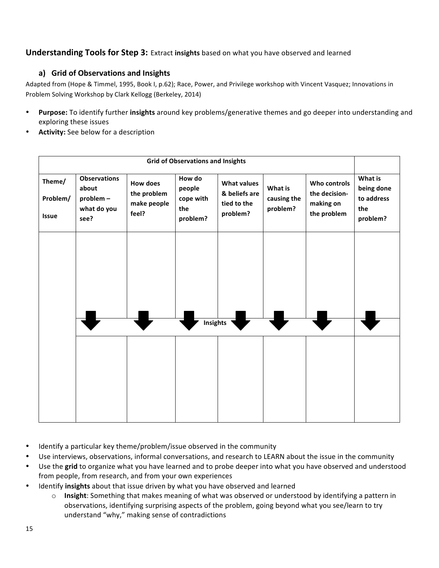#### **Understanding Tools for Step 3:** Extract insights based on what you have observed and learned

#### a) Grid of Observations and Insights

Adapted from (Hope & Timmel, 1995, Book I, p.62); Race, Power, and Privilege workshop with Vincent Vasquez; Innovations in Problem Solving Workshop by Clark Kellogg (Berkeley, 2014)

- Purpose: To identify further insights around key problems/generative themes and go deeper into understanding and exploring these issues
- Activity: See below for a description

| <b>Grid of Observations and Insights</b> |                                                                  |                                                        |                                                  |                                                                |                                    |                                                           |                                                        |
|------------------------------------------|------------------------------------------------------------------|--------------------------------------------------------|--------------------------------------------------|----------------------------------------------------------------|------------------------------------|-----------------------------------------------------------|--------------------------------------------------------|
| Theme/<br>Problem/<br><b>Issue</b>       | <b>Observations</b><br>about<br>problem -<br>what do you<br>see? | <b>How does</b><br>the problem<br>make people<br>feel? | How do<br>people<br>cope with<br>the<br>problem? | <b>What values</b><br>& beliefs are<br>tied to the<br>problem? | What is<br>causing the<br>problem? | Who controls<br>the decision-<br>making on<br>the problem | What is<br>being done<br>to address<br>the<br>problem? |
|                                          |                                                                  |                                                        |                                                  |                                                                |                                    |                                                           |                                                        |
|                                          | <b>Insights</b>                                                  |                                                        |                                                  |                                                                |                                    |                                                           |                                                        |
|                                          |                                                                  |                                                        |                                                  |                                                                |                                    |                                                           |                                                        |

- Identify a particular key theme/problem/issue observed in the community
- Use interviews, observations, informal conversations, and research to LEARN about the issue in the community
- Use the grid to organize what you have learned and to probe deeper into what you have observed and understood from people, from research, and from your own experiences
- Identify **insights** about that issue driven by what you have observed and learned
	- o **Insight**: Something that makes meaning of what was observed or understood by identifying a pattern in observations, identifying surprising aspects of the problem, going beyond what you see/learn to try understand "why," making sense of contradictions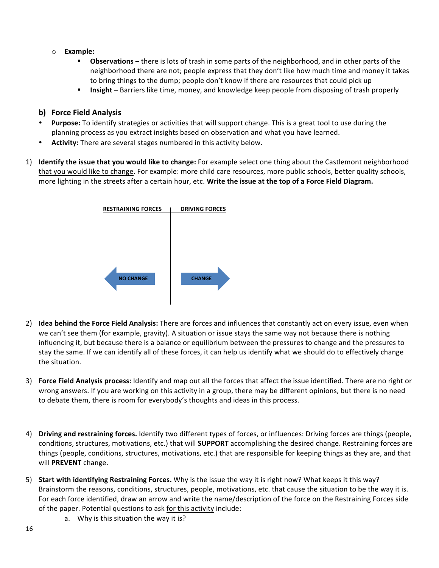- o **Example:** 
	- **Observations** there is lots of trash in some parts of the neighborhood, and in other parts of the neighborhood there are not; people express that they don't like how much time and money it takes to bring things to the dump; people don't know if there are resources that could pick up
	- **Insight** Barriers like time, money, and knowledge keep people from disposing of trash properly

#### **b) Force Field Analysis**

- **Purpose:** To identify strategies or activities that will support change. This is a great tool to use during the planning process as you extract insights based on observation and what you have learned.
- Activity: There are several stages numbered in this activity below.
- 1) **Identify the issue that you would like to change:** For example select one thing about the Castlemont neighborhood that you would like to change. For example: more child care resources, more public schools, better quality schools, more lighting in the streets after a certain hour, etc. Write the issue at the top of a Force Field Diagram.



- 2) **Idea behind the Force Field Analysis:** There are forces and influences that constantly act on every issue, even when we can't see them (for example, gravity). A situation or issue stays the same way not because there is nothing influencing it, but because there is a balance or equilibrium between the pressures to change and the pressures to stay the same. If we can identify all of these forces, it can help us identify what we should do to effectively change the situation.
- 3) **Force Field Analysis process:** Identify and map out all the forces that affect the issue identified. There are no right or wrong answers. If you are working on this activity in a group, there may be different opinions, but there is no need to debate them, there is room for everybody's thoughts and ideas in this process.
- 4) Driving and restraining forces. Identify two different types of forces, or influences: Driving forces are things (people, conditions, structures, motivations, etc.) that will **SUPPORT** accomplishing the desired change. Restraining forces are things (people, conditions, structures, motivations, etc.) that are responsible for keeping things as they are, and that will PREVENT change.
- 5) Start with identifying Restraining Forces. Why is the issue the way it is right now? What keeps it this way? Brainstorm the reasons, conditions, structures, people, motivations, etc. that cause the situation to be the way it is. For each force identified, draw an arrow and write the name/description of the force on the Restraining Forces side of the paper. Potential questions to ask for this activity include:
	- a. Why is this situation the way it is?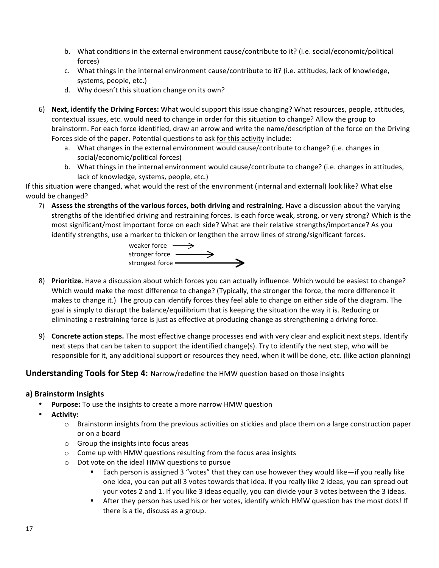- b. What conditions in the external environment cause/contribute to it? (i.e. social/economic/political forces)
- c. What things in the internal environment cause/contribute to it? (i.e. attitudes, lack of knowledge, systems, people, etc.)
- d. Why doesn't this situation change on its own?
- 6) Next, identify the Driving Forces: What would support this issue changing? What resources, people, attitudes, contextual issues, etc. would need to change in order for this situation to change? Allow the group to brainstorm. For each force identified, draw an arrow and write the name/description of the force on the Driving Forces side of the paper. Potential questions to ask for this activity include:
	- a. What changes in the external environment would cause/contribute to change? (i.e. changes in social/economic/political forces)
	- b. What things in the internal environment would cause/contribute to change? (i.e. changes in attitudes, lack of knowledge, systems, people, etc.)

If this situation were changed, what would the rest of the environment (internal and external) look like? What else would be changed?

7) Assess the strengths of the various forces, both driving and restraining. Have a discussion about the varying strengths of the identified driving and restraining forces. Is each force weak, strong, or very strong? Which is the most significant/most important force on each side? What are their relative strengths/importance? As you identify strengths, use a marker to thicken or lengthen the arrow lines of strong/significant forces.

weaker force  $\longrightarrow$ stronger force strongest force

- 8) Prioritize. Have a discussion about which forces you can actually influence. Which would be easiest to change? Which would make the most difference to change? (Typically, the stronger the force, the more difference it makes to change it.) The group can identify forces they feel able to change on either side of the diagram. The goal is simply to disrupt the balance/equilibrium that is keeping the situation the way it is. Reducing or eliminating a restraining force is just as effective at producing change as strengthening a driving force.
- 9) **Concrete action steps.** The most effective change processes end with very clear and explicit next steps. Identify next steps that can be taken to support the identified change(s). Try to identify the next step, who will be responsible for it, any additional support or resources they need, when it will be done, etc. (like action planning)

#### **Understanding Tools for Step 4:** Narrow/redefine the HMW question based on those insights

#### **a) Brainstorm Insights**

- **Purpose:** To use the insights to create a more narrow HMW question
- **Activity:** 
	- $\circ$  Brainstorm insights from the previous activities on stickies and place them on a large construction paper or on a board
	- $\circ$  Group the insights into focus areas
	- $\circ$  Come up with HMW questions resulting from the focus area insights
	- $\circ$  Dot vote on the ideal HMW questions to pursue
		- Each person is assigned 3 "votes" that they can use however they would like—if you really like one idea, you can put all 3 votes towards that idea. If you really like 2 ideas, you can spread out your votes 2 and 1. If you like 3 ideas equally, you can divide your 3 votes between the 3 ideas.
		- " After they person has used his or her votes, identify which HMW question has the most dots! If there is a tie, discuss as a group.